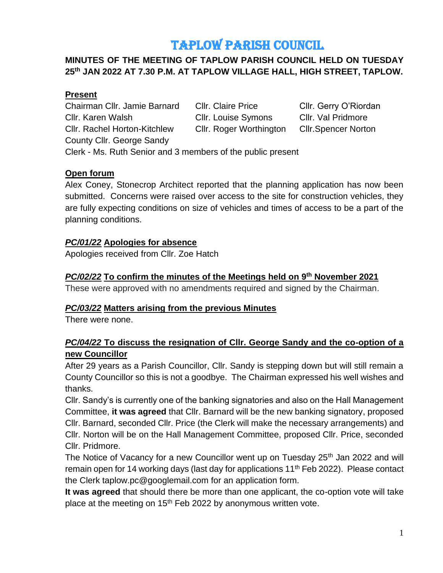# TAPLOW PARISH COUNCIL

## **MINUTES OF THE MEETING OF TAPLOW PARISH COUNCIL HELD ON TUESDAY 25th JAN 2022 AT 7.30 P.M. AT TAPLOW VILLAGE HALL, HIGH STREET, TAPLOW.**

#### **Present**

Chairman Cllr. Jamie Barnard Cllr. Claire Price Cllr. Gerry O'Riordan Cllr. Karen Walsh Cllr. Louise Symons Cllr. Val Pridmore Cllr. Rachel Horton-Kitchlew Cllr. Roger Worthington Cllr.Spencer Norton County Cllr. George Sandy

Clerk - Ms. Ruth Senior and 3 members of the public present

#### **Open forum**

Alex Coney, Stonecrop Architect reported that the planning application has now been submitted. Concerns were raised over access to the site for construction vehicles, they are fully expecting conditions on size of vehicles and times of access to be a part of the planning conditions.

#### *PC/01/22* **Apologies for absence**

Apologies received from Cllr. Zoe Hatch

#### *PC/02/22* **To confirm the minutes of the Meetings held on 9 th November 2021**

These were approved with no amendments required and signed by the Chairman.

#### *PC/03/22* **Matters arising from the previous Minutes**

There were none.

#### *PC/04/22* **To discuss the resignation of Cllr. George Sandy and the co-option of a new Councillor**

After 29 years as a Parish Councillor, Cllr. Sandy is stepping down but will still remain a County Councillor so this is not a goodbye. The Chairman expressed his well wishes and thanks.

Cllr. Sandy's is currently one of the banking signatories and also on the Hall Management Committee, **it was agreed** that Cllr. Barnard will be the new banking signatory, proposed Cllr. Barnard, seconded Cllr. Price (the Clerk will make the necessary arrangements) and Cllr. Norton will be on the Hall Management Committee, proposed Cllr. Price, seconded Cllr. Pridmore.

The Notice of Vacancy for a new Councillor went up on Tuesday 25<sup>th</sup> Jan 2022 and will remain open for 14 working days (last day for applications  $11<sup>th</sup>$  Feb 2022). Please contact the Clerk taplow.pc@googlemail.com for an application form.

**It was agreed** that should there be more than one applicant, the co-option vote will take place at the meeting on 15<sup>th</sup> Feb 2022 by anonymous written vote.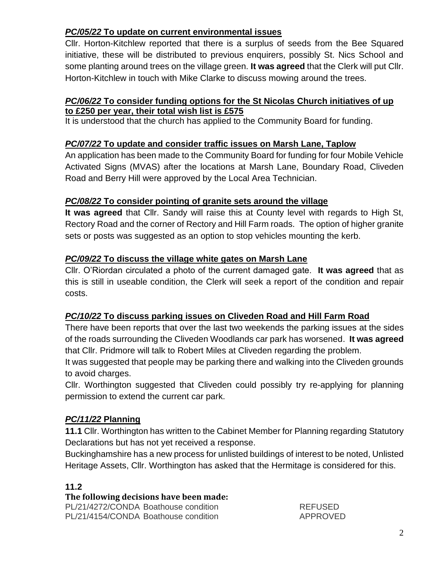# *PC/05/22* **To update on current environmental issues**

Cllr. Horton-Kitchlew reported that there is a surplus of seeds from the Bee Squared initiative, these will be distributed to previous enquirers, possibly St. Nics School and some planting around trees on the village green. **It was agreed** that the Clerk will put Cllr. Horton-Kitchlew in touch with Mike Clarke to discuss mowing around the trees.

#### *PC/06/22* **To consider funding options for the St Nicolas Church initiatives of up to £250 per year, their total wish list is £575**

It is understood that the church has applied to the Community Board for funding.

#### *PC/07/22* **To update and consider traffic issues on Marsh Lane, Taplow**

An application has been made to the Community Board for funding for four Mobile Vehicle Activated Signs (MVAS) after the locations at Marsh Lane, Boundary Road, Cliveden Road and Berry Hill were approved by the Local Area Technician.

#### *PC/08/22* **To consider pointing of granite sets around the village**

**It was agreed** that Cllr. Sandy will raise this at County level with regards to High St, Rectory Road and the corner of Rectory and Hill Farm roads. The option of higher granite sets or posts was suggested as an option to stop vehicles mounting the kerb.

#### *PC/09/22* **To discuss the village white gates on Marsh Lane**

Cllr. O'Riordan circulated a photo of the current damaged gate. **It was agreed** that as this is still in useable condition, the Clerk will seek a report of the condition and repair costs.

## *PC/10/22* **To discuss parking issues on Cliveden Road and Hill Farm Road**

There have been reports that over the last two weekends the parking issues at the sides of the roads surrounding the Cliveden Woodlands car park has worsened. **It was agreed** that Cllr. Pridmore will talk to Robert Miles at Cliveden regarding the problem.

It was suggested that people may be parking there and walking into the Cliveden grounds to avoid charges.

Cllr. Worthington suggested that Cliveden could possibly try re-applying for planning permission to extend the current car park.

## *PC/11/22* **Planning**

**11.1** Cllr. Worthington has written to the Cabinet Member for Planning regarding Statutory Declarations but has not yet received a response.

Buckinghamshire has a new process for unlisted buildings of interest to be noted, Unlisted Heritage Assets, Cllr. Worthington has asked that the Hermitage is considered for this.

#### **11.2**

#### **The following decisions have been made:**

PL/21/4272/CONDA Boathouse condition REFUSED PL/21/4154/CONDA Boathouse condition APPROVED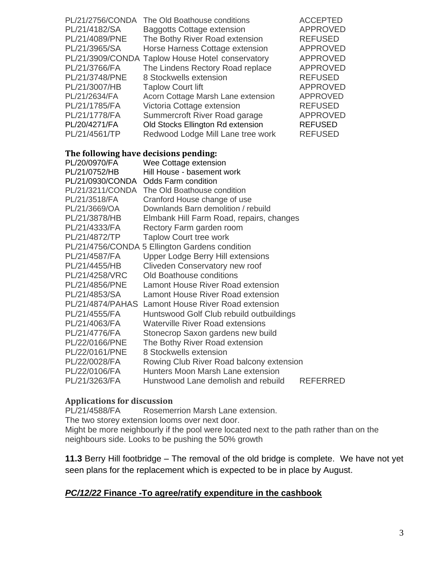| The Old Boathouse conditions                     | <b>ACCEPTED</b> |
|--------------------------------------------------|-----------------|
| <b>Baggotts Cottage extension</b>                | <b>APPROVED</b> |
| The Bothy River Road extension                   | <b>REFUSED</b>  |
| Horse Harness Cottage extension                  | <b>APPROVED</b> |
| PL/21/3909/CONDA Taplow House Hotel conservatory | <b>APPROVED</b> |
| The Lindens Rectory Road replace                 | <b>APPROVED</b> |
| 8 Stockwells extension                           | <b>REFUSED</b>  |
| <b>Taplow Court lift</b>                         | <b>APPROVED</b> |
| Acorn Cottage Marsh Lane extension               | <b>APPROVED</b> |
| Victoria Cottage extension                       | <b>REFUSED</b>  |
| Summercroft River Road garage                    | <b>APPROVED</b> |
| Old Stocks Ellington Rd extension                | <b>REFUSED</b>  |
| Redwood Lodge Mill Lane tree work                | <b>REFUSED</b>  |
|                                                  |                 |

#### **The following have decisions pending:**

| PL/20/0970/FA    | Wee Cottage extension                          |                 |
|------------------|------------------------------------------------|-----------------|
| PL/21/0752/HB    | Hill House - basement work                     |                 |
| PL/21/0930/CONDA | <b>Odds Farm condition</b>                     |                 |
|                  | PL/21/3211/CONDA The Old Boathouse condition   |                 |
| PL/21/3518/FA    | Cranford House change of use                   |                 |
| PL/21/3669/OA    | Downlands Barn demolition / rebuild            |                 |
| PL/21/3878/HB    | Elmbank Hill Farm Road, repairs, changes       |                 |
| PL/21/4333/FA    | Rectory Farm garden room                       |                 |
| PL/21/4872/TP    | <b>Taplow Court tree work</b>                  |                 |
|                  | PL/21/4756/CONDA 5 Ellington Gardens condition |                 |
| PL/21/4587/FA    | <b>Upper Lodge Berry Hill extensions</b>       |                 |
| PL/21/4455/HB    | Cliveden Conservatory new roof                 |                 |
| PL/21/4258/VRC   | Old Boathouse conditions                       |                 |
| PL/21/4856/PNE   | Lamont House River Road extension              |                 |
| PL/21/4853/SA    | Lamont House River Road extension              |                 |
| PL/21/4874/PAHAS | Lamont House River Road extension              |                 |
| PL/21/4555/FA    | Huntswood Golf Club rebuild outbuildings       |                 |
| PL/21/4063/FA    | <b>Waterville River Road extensions</b>        |                 |
| PL/21/4776/FA    | Stonecrop Saxon gardens new build              |                 |
| PL/22/0166/PNE   | The Bothy River Road extension                 |                 |
| PL/22/0161/PNE   | 8 Stockwells extension                         |                 |
| PL/22/0028/FA    | Rowing Club River Road balcony extension       |                 |
| PL/22/0106/FA    | Hunters Moon Marsh Lane extension              |                 |
| PL/21/3263/FA    | Hunstwood Lane demolish and rebuild            | <b>REFERRED</b> |

#### **Applications for discussion**

PL/21/4588/FA Rosemerrion Marsh Lane extension. The two storey extension looms over next door. Might be more neighbourly if the pool were located next to the path rather than on the neighbours side. Looks to be pushing the 50% growth

**11.3** Berry Hill footbridge – The removal of the old bridge is complete. We have not yet seen plans for the replacement which is expected to be in place by August.

#### *PC/12/22* **Finance -To agree/ratify expenditure in the cashbook**